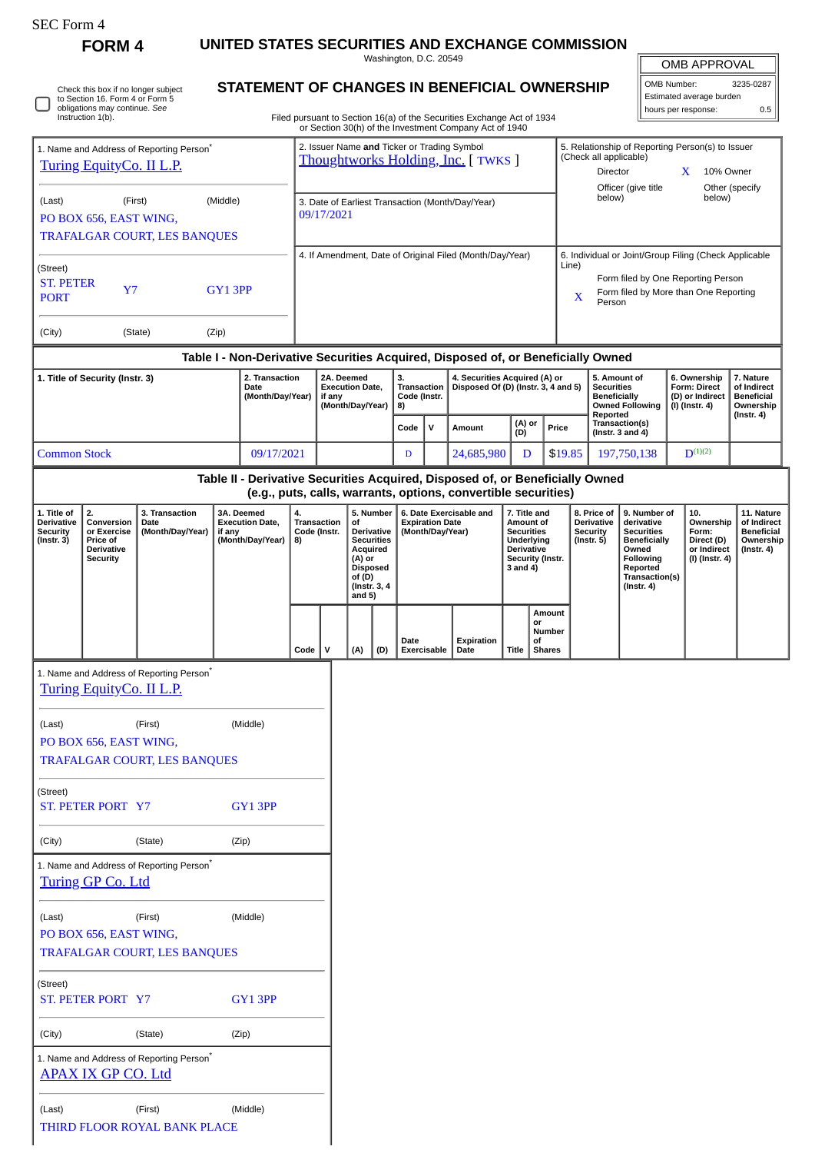| $SEC$ Form $\triangle$ |  |
|------------------------|--|
|------------------------|--|

٦

Check this box if no longer subject to Section 16. Form 4 or Form 5 obligations may continue. *See* Instruction 1(b).

**FORM 4 UNITED STATES SECURITIES AND EXCHANGE COMMISSION**

**STATEMENT OF CHANGES IN BENEFICIAL OWNERSHIP**

Washington, D.C. 20549

| <b>OMB APPROVAL</b> |
|---------------------|
|                     |
|                     |

| OMB Number:                      | 3235-0287 |  |  |  |  |  |
|----------------------------------|-----------|--|--|--|--|--|
| Estimated average burden         |           |  |  |  |  |  |
| $\ \$ hours per response:<br>0.5 |           |  |  |  |  |  |
|                                  |           |  |  |  |  |  |

Filed pursuant to Section 16(a) of the Securities Exchange Act of 1934 or Section 30(h) of the Investment Company Act of 1940

| 1. Name and Address of Reporting Person <sup>®</sup><br>Turing EquityCo. II L.P. |                                                                              |                                                      |          |                                                                                             |                                                                | 2. Issuer Name and Ticker or Trading Symbol<br>Thoughtworks Holding, Inc. [ TWKS ]                                                    |     |                                                                                                                                                                                                                                                                                                                                   |      |                                     |                                                                |                                                            |               | 5. Relationship of Reporting Person(s) to Issuer<br>(Check all applicable)<br>Director<br>10% Owner<br>X<br>Officer (give title<br>Other (specify            |                                                                                |                                                                          |                                                                                 |                                                                   |              |  |
|----------------------------------------------------------------------------------|------------------------------------------------------------------------------|------------------------------------------------------|----------|---------------------------------------------------------------------------------------------|----------------------------------------------------------------|---------------------------------------------------------------------------------------------------------------------------------------|-----|-----------------------------------------------------------------------------------------------------------------------------------------------------------------------------------------------------------------------------------------------------------------------------------------------------------------------------------|------|-------------------------------------|----------------------------------------------------------------|------------------------------------------------------------|---------------|--------------------------------------------------------------------------------------------------------------------------------------------------------------|--------------------------------------------------------------------------------|--------------------------------------------------------------------------|---------------------------------------------------------------------------------|-------------------------------------------------------------------|--------------|--|
| (Last)                                                                           | PO BOX 656, EAST WING,                                                       | (First)<br>TRAFALGAR COURT, LES BANQUES              | (Middle) |                                                                                             | 3. Date of Earliest Transaction (Month/Day/Year)<br>09/17/2021 |                                                                                                                                       |     |                                                                                                                                                                                                                                                                                                                                   |      |                                     |                                                                |                                                            |               |                                                                                                                                                              | below)                                                                         |                                                                          |                                                                                 | below)                                                            |              |  |
| (Street)<br><b>ST. PETER</b><br><b>PORT</b>                                      | Y7                                                                           |                                                      | GY13PP   |                                                                                             | 4. If Amendment, Date of Original Filed (Month/Day/Year)       |                                                                                                                                       |     |                                                                                                                                                                                                                                                                                                                                   |      |                                     |                                                                |                                                            |               | 6. Individual or Joint/Group Filing (Check Applicable<br>Line)<br>Form filed by One Reporting Person<br>Form filed by More than One Reporting<br>X<br>Person |                                                                                |                                                                          |                                                                                 |                                                                   |              |  |
| (City)                                                                           |                                                                              | (State)                                              | (Zip)    |                                                                                             |                                                                |                                                                                                                                       |     |                                                                                                                                                                                                                                                                                                                                   |      |                                     |                                                                |                                                            |               |                                                                                                                                                              |                                                                                |                                                                          |                                                                                 |                                                                   |              |  |
|                                                                                  | 1. Title of Security (Instr. 3)                                              |                                                      |          | 2. Transaction                                                                              |                                                                | Table I - Non-Derivative Securities Acquired, Disposed of, or Beneficially Owned<br>2A. Deemed<br>3.<br>4. Securities Acquired (A) or |     |                                                                                                                                                                                                                                                                                                                                   |      |                                     |                                                                |                                                            |               |                                                                                                                                                              | 5. Amount of                                                                   | 6. Ownership                                                             |                                                                                 | 7. Nature                                                         |              |  |
|                                                                                  |                                                                              |                                                      |          | Date<br>(Month/Day/Year)                                                                    |                                                                | <b>Execution Date,</b><br>if any<br>(Month/Day/Year)                                                                                  |     | Transaction<br>Code (Instr.<br>8)                                                                                                                                                                                                                                                                                                 |      | Disposed Of (D) (Instr. 3, 4 and 5) |                                                                |                                                            |               |                                                                                                                                                              | <b>Securities</b><br><b>Beneficially</b><br><b>Owned Following</b><br>Reported |                                                                          | Form: Direct<br>(D) or Indirect<br>$(I)$ (Instr. 4)                             | of Indirect<br><b>Beneficial</b><br>Ownership<br>$($ Instr. 4 $)$ |              |  |
|                                                                                  |                                                                              |                                                      |          |                                                                                             |                                                                |                                                                                                                                       |     |                                                                                                                                                                                                                                                                                                                                   | Code | $\mathbf v$                         | Amount                                                         |                                                            | (A) or<br>(D) |                                                                                                                                                              | Price                                                                          |                                                                          | Transaction(s)<br>(Instr. $3$ and $4$ )                                         |                                                                   |              |  |
| <b>Common Stock</b>                                                              |                                                                              |                                                      |          | 09/17/2021<br>Table II - Derivative Securities Acquired, Disposed of, or Beneficially Owned |                                                                |                                                                                                                                       |     |                                                                                                                                                                                                                                                                                                                                   | D    |                                     | 24,685,980                                                     |                                                            | D             |                                                                                                                                                              | \$19.85                                                                        |                                                                          | 197,750,138                                                                     |                                                                   | $D^{(1)(2)}$ |  |
|                                                                                  |                                                                              |                                                      |          |                                                                                             |                                                                |                                                                                                                                       |     |                                                                                                                                                                                                                                                                                                                                   |      |                                     | (e.g., puts, calls, warrants, options, convertible securities) |                                                            |               |                                                                                                                                                              |                                                                                |                                                                          |                                                                                 |                                                                   |              |  |
| 1. Title of<br><b>Derivative</b><br><b>Security</b><br>$($ Instr. 3 $)$          | 2.<br>Conversion<br>or Exercise<br>Price of<br>Derivative<br><b>Security</b> | 3. Transaction<br>Date<br>(Month/Day/Year)           | if any   | 3A. Deemed<br><b>Execution Date,</b><br>(Month/Day/Year)                                    | 4.<br>8)                                                       | Transaction<br>Code (Instr.                                                                                                           | of  | 5. Number<br>6. Date Exercisable and<br>7. Title and<br><b>Expiration Date</b><br>Amount of<br><b>Securities</b><br>Derivative<br>(Month/Day/Year)<br><b>Securities</b><br>Underlying<br><b>Acquired</b><br><b>Derivative</b><br>Security (Instr.<br>(A) or<br><b>Disposed</b><br>3 and 4)<br>of (D)<br>(Instr. 3, 4)<br>and $5)$ |      |                                     |                                                                | 8. Price of<br>Derivative<br><b>Security</b><br>(Instr. 5) |               | 9. Number of<br>derivative<br><b>Securities</b><br><b>Beneficially</b><br>Owned<br>Following<br>Reported<br>Transaction(s)<br>$($ Instr. 4 $)$               |                                                                                | 10.<br>Ownership<br>Form:<br>Direct (D)<br>or Indirect<br>(I) (Instr. 4) | 11. Nature<br>of Indirect<br><b>Beneficial</b><br>Ownership<br>$($ Instr. 4 $)$ |                                                                   |              |  |
|                                                                                  |                                                                              |                                                      |          |                                                                                             | Code                                                           | $\mathsf{v}$                                                                                                                          | (A) | (D)                                                                                                                                                                                                                                                                                                                               | Date | <b>Exercisable</b>                  | Expiration<br>Date                                             | Title                                                      |               | Amount<br>or<br>Number<br>οf<br><b>Shares</b>                                                                                                                |                                                                                |                                                                          |                                                                                 |                                                                   |              |  |
|                                                                                  | Turing EquityCo. II L.P.                                                     | 1. Name and Address of Reporting Person <sup>*</sup> |          |                                                                                             |                                                                |                                                                                                                                       |     |                                                                                                                                                                                                                                                                                                                                   |      |                                     |                                                                |                                                            |               |                                                                                                                                                              |                                                                                |                                                                          |                                                                                 |                                                                   |              |  |
| (Last)                                                                           | PO BOX 656, EAST WING,                                                       | (First)                                              |          | (Middle)                                                                                    |                                                                |                                                                                                                                       |     |                                                                                                                                                                                                                                                                                                                                   |      |                                     |                                                                |                                                            |               |                                                                                                                                                              |                                                                                |                                                                          |                                                                                 |                                                                   |              |  |
|                                                                                  |                                                                              | TRAFALGAR COURT, LES BANQUES                         |          |                                                                                             |                                                                |                                                                                                                                       |     |                                                                                                                                                                                                                                                                                                                                   |      |                                     |                                                                |                                                            |               |                                                                                                                                                              |                                                                                |                                                                          |                                                                                 |                                                                   |              |  |
| (Street)                                                                         | ST. PETER PORT Y7                                                            |                                                      |          | GY13PP                                                                                      |                                                                |                                                                                                                                       |     |                                                                                                                                                                                                                                                                                                                                   |      |                                     |                                                                |                                                            |               |                                                                                                                                                              |                                                                                |                                                                          |                                                                                 |                                                                   |              |  |
| (City)                                                                           |                                                                              | (State)                                              |          | (Zip)                                                                                       |                                                                |                                                                                                                                       |     |                                                                                                                                                                                                                                                                                                                                   |      |                                     |                                                                |                                                            |               |                                                                                                                                                              |                                                                                |                                                                          |                                                                                 |                                                                   |              |  |
|                                                                                  | Turing GP Co. Ltd                                                            | 1. Name and Address of Reporting Person*             |          |                                                                                             |                                                                |                                                                                                                                       |     |                                                                                                                                                                                                                                                                                                                                   |      |                                     |                                                                |                                                            |               |                                                                                                                                                              |                                                                                |                                                                          |                                                                                 |                                                                   |              |  |
| (Last)                                                                           | PO BOX 656, EAST WING,                                                       | (First)<br>TRAFALGAR COURT, LES BANQUES              |          | (Middle)                                                                                    |                                                                |                                                                                                                                       |     |                                                                                                                                                                                                                                                                                                                                   |      |                                     |                                                                |                                                            |               |                                                                                                                                                              |                                                                                |                                                                          |                                                                                 |                                                                   |              |  |
| (Street)                                                                         | <b>ST. PETER PORT Y7</b>                                                     |                                                      |          | GY13PP                                                                                      |                                                                |                                                                                                                                       |     |                                                                                                                                                                                                                                                                                                                                   |      |                                     |                                                                |                                                            |               |                                                                                                                                                              |                                                                                |                                                                          |                                                                                 |                                                                   |              |  |
| (City)                                                                           |                                                                              | (State)                                              |          | (Zip)                                                                                       |                                                                |                                                                                                                                       |     |                                                                                                                                                                                                                                                                                                                                   |      |                                     |                                                                |                                                            |               |                                                                                                                                                              |                                                                                |                                                                          |                                                                                 |                                                                   |              |  |
|                                                                                  | <b>APAX IX GP CO. Ltd</b>                                                    | 1. Name and Address of Reporting Person <sup>*</sup> |          |                                                                                             |                                                                |                                                                                                                                       |     |                                                                                                                                                                                                                                                                                                                                   |      |                                     |                                                                |                                                            |               |                                                                                                                                                              |                                                                                |                                                                          |                                                                                 |                                                                   |              |  |
| (Last)                                                                           |                                                                              | (First)<br>THIRD FLOOR ROYAL BANK PLACE              |          | (Middle)                                                                                    |                                                                |                                                                                                                                       |     |                                                                                                                                                                                                                                                                                                                                   |      |                                     |                                                                |                                                            |               |                                                                                                                                                              |                                                                                |                                                                          |                                                                                 |                                                                   |              |  |